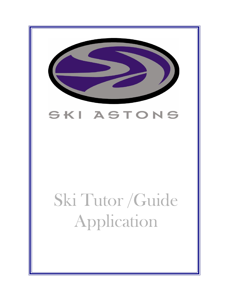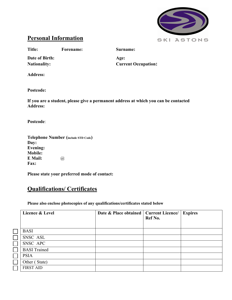

## **Personal Information**

**Title: Forename: Surname:**

**Date of Birth: Age:**

**Nationality: Current Occupation:**

**Address:**

**Postcode:**

**If you are a student, please give a permanent address at which you can be contacted Address:**

**Postcode**:

| <b>Telephone Number (include STD Code)</b> |      |  |
|--------------------------------------------|------|--|
| Day:                                       |      |  |
| <b>Evening:</b>                            |      |  |
| <b>Mobile:</b>                             |      |  |
| E Mail:                                    | (a), |  |
| <b>Fax:</b>                                |      |  |

**Please state your preferred mode of contact:**

# **Qualifications/ Certificates**

**Please also enclose photocopies of any qualifications/certificates stated below**

| Licence & Level     | Date & Place obtained   Current Licence/ | Ref No. | <b>Expires</b> |
|---------------------|------------------------------------------|---------|----------------|
| <b>BASI</b>         |                                          |         |                |
| SNSC ASL            |                                          |         |                |
| SNSC APC            |                                          |         |                |
| <b>BASI</b> Trained |                                          |         |                |
| <b>PSIA</b>         |                                          |         |                |
| Other (State)       |                                          |         |                |
| <b>FIRST AID</b>    |                                          |         |                |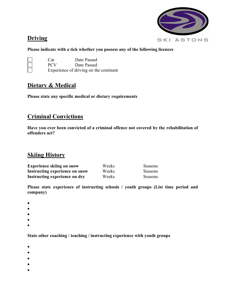# **Driving**



#### **Please indicate with a tick whether you possess any of the following licences**

| $\Box$ | Car        | Date Passed                            |
|--------|------------|----------------------------------------|
|        | <b>PCV</b> | Date Passed                            |
|        |            | Experience of driving on the continent |

### **Dietary & Medical**

**Please state any specific medical or dietary requirements**

# **Criminal Convictions**

**Have you ever been convicted of a criminal offence not covered by the rehabilitation of offenders act?**

### **Skiing History**

| <b>Experience skiing on snow</b> | Weeks | Seasons |
|----------------------------------|-------|---------|
| Instructing experience on snow   | Weeks | Seasons |
| Instructing experience on dry    | Weeks | Seasons |

**Please state experience of instructing schools / youth groups (List time period and company)**

- •
- 
- •
- •
- •
- •

**State other coaching / teaching / instructing experience with youth groups**

- •
- •
- •
- •
- •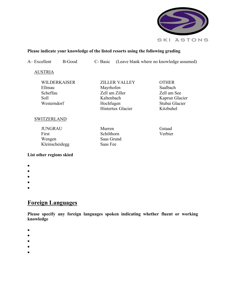

#### **Please indicate your knowledge of the listed resorts using the following grading**

A– Excellent B-Good C- Basic (Leave blank where no knowledge assumed)

AUSTRIA

| WILDERKAISER |
|--------------|
| Ellmau       |
| Scheffau     |
| Soll         |
| Westerndorf  |

**SWITZERLAND** 

 JUNGRAU First Wengen Kleinscheidegg  Murren Schilthorn Saas Grund Saas Fee

ZILLER VALLEY

Hintertux Glacier

 Mayrhofen Zell am Ziller Kaltenbach Hochfugen

 OTHER Saalbach Zell am See Kaprun Glacier Stubai Glacier Kitzbuhel

 Gstaad Verbier

#### **List other regions skied**

- •
- •
- •
- •
- 
- •

### **Foreign Languages**

**Please specify any foreign languages spoken indicating whether fluent or working knowledge**

- •
- •
- •
- •
- •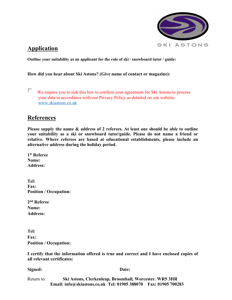

### **Application**

**Outline your suitability as an applicant for the role of ski / snowboard tutor / guide:**

**How did you hear about Ski Astons? (Give name of contact or magazine):**

П. We require you to tick this box to confirm your agreement for Ski Astons to process your data in accordance with our Privacy Policy as detailed on our website: www.skiastons.co.uk

#### **References**

**Please supply the name & address of 2 referees. At least one should be able to outline your suitability as a ski or snowboard tutor/guide. Please do not name a friend or relative. Where referees are based at educational establishments, please include an alternative address during the holiday period.**

**1st Referee Name: Address:**

**Tel: Fax: Position / Occupation:**

| 2 <sup>nd</sup> Referee |
|-------------------------|
| <b>Name:</b>            |
| <b>Address:</b>         |

**Tel: Fax: Position / Occupation:** 

**I certify that the information offered is true and correct and I have enclosed copies of all relevant certificates:**

**Signed: Date:**

Return to: **Ski Astons, Clerkenleap, Broomhall, Worcester. WR5 3HR Email: info@skiastons.co.uk Tel: 01905 388070 Fax: 01905 700283**